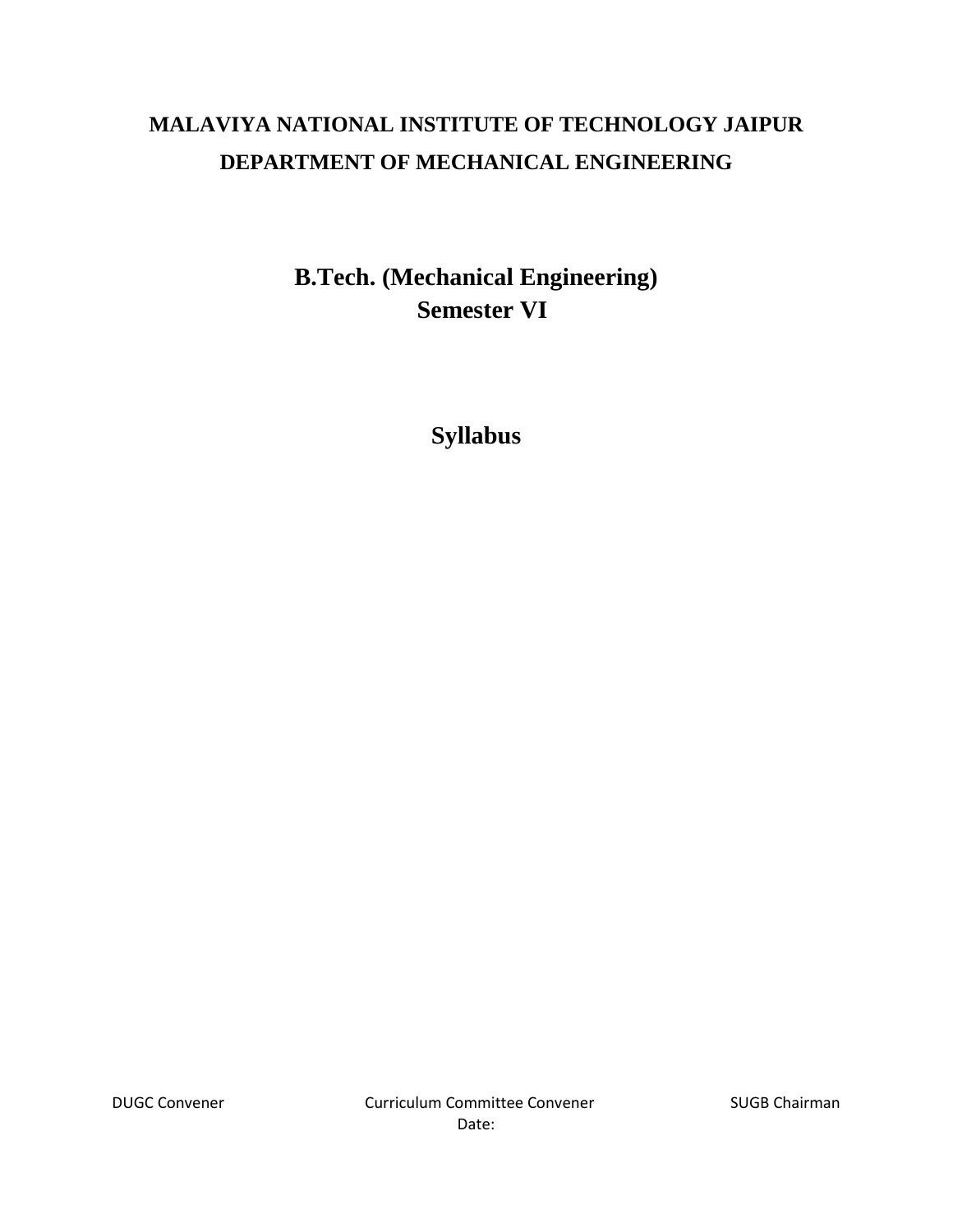# **MALAVIYA NATIONAL INSTITUTE OF TECHNOLOGY JAIPUR DEPARTMENT OF MECHANICAL ENGINEERING**

**B.Tech. (Mechanical Engineering) Semester VI**

**Syllabus**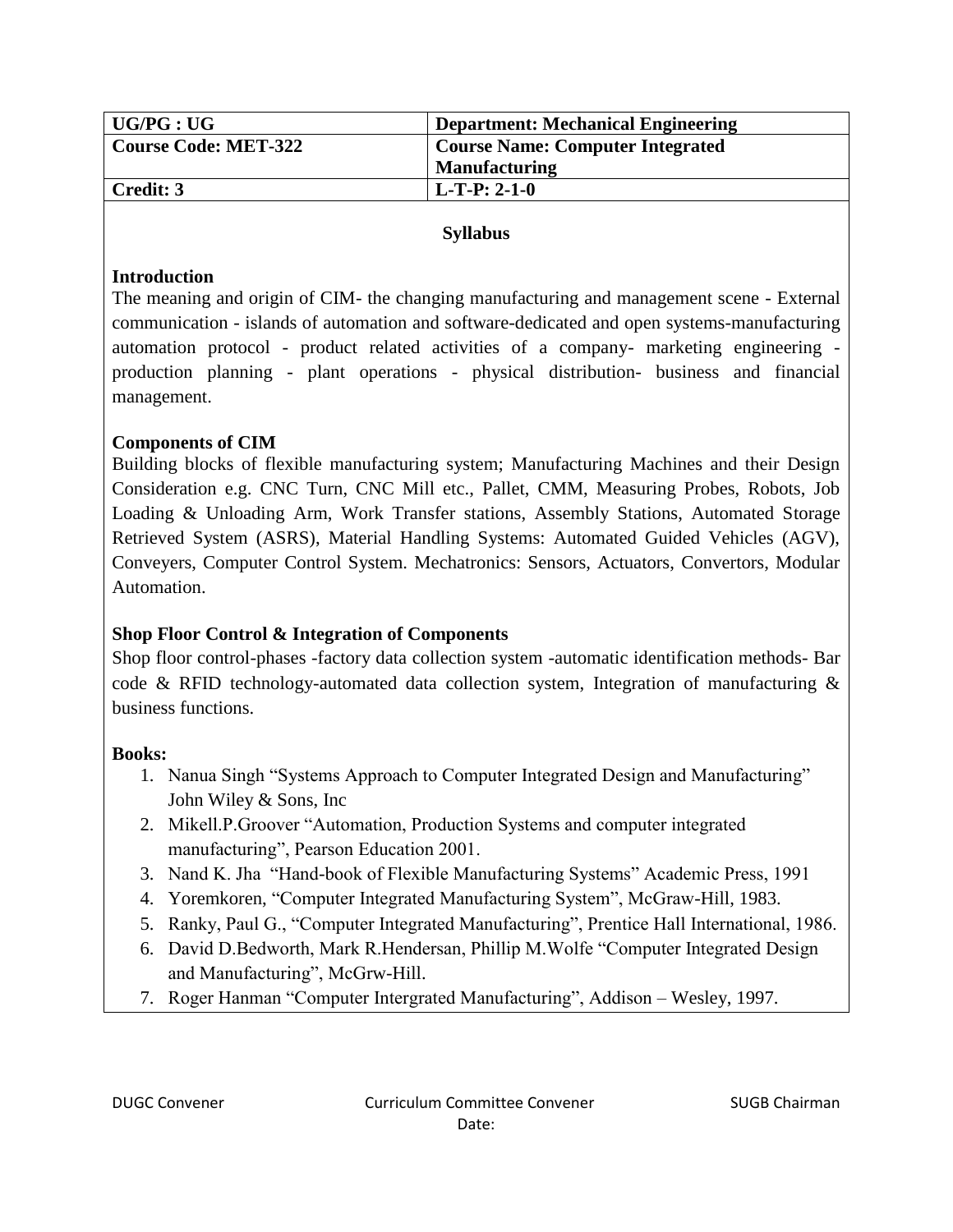| $\mid$ UG/PG : UG    | <b>Department: Mechanical Engineering</b> |
|----------------------|-------------------------------------------|
| Course Code: MET-322 | <b>Course Name: Computer Integrated</b>   |
|                      | <b>Manufacturing</b>                      |
| Credit: 3            | $L-T-P: 2-1-0$                            |

#### **Introduction**

The meaning and origin of CIM- the changing manufacturing and management scene - External communication - islands of automation and software-dedicated and open systems-manufacturing automation protocol - product related activities of a company- marketing engineering production planning - plant operations - physical distribution- business and financial management.

#### **Components of CIM**

Building blocks of flexible manufacturing system; Manufacturing Machines and their Design Consideration e.g. CNC Turn, CNC Mill etc., Pallet, CMM, Measuring Probes, Robots, Job Loading & Unloading Arm, Work Transfer stations, Assembly Stations, Automated Storage Retrieved System (ASRS), Material Handling Systems: Automated Guided Vehicles (AGV), Conveyers, Computer Control System. Mechatronics: Sensors, Actuators, Convertors, Modular Automation.

# **Shop Floor Control & Integration of Components**

Shop floor control-phases -factory data collection system -automatic identification methods- Bar code & RFID technology-automated data collection system, Integration of manufacturing & business functions.

#### **Books:**

- 1. Nanua Singh "Systems Approach to Computer Integrated Design and Manufacturing" John Wiley & Sons, Inc
- 2. Mikell.P.Groover "Automation, Production Systems and computer integrated manufacturing", Pearson Education 2001.
- 3. Nand K. Jha "Hand-book of Flexible Manufacturing Systems" Academic Press, 1991
- 4. Yoremkoren, "Computer Integrated Manufacturing System", McGraw-Hill, 1983.
- 5. Ranky, Paul G., "Computer Integrated Manufacturing", Prentice Hall International, 1986.
- 6. David D.Bedworth, Mark R.Hendersan, Phillip M.Wolfe "Computer Integrated Design and Manufacturing", McGrw-Hill.
- 7. Roger Hanman "Computer Intergrated Manufacturing", Addison Wesley, 1997.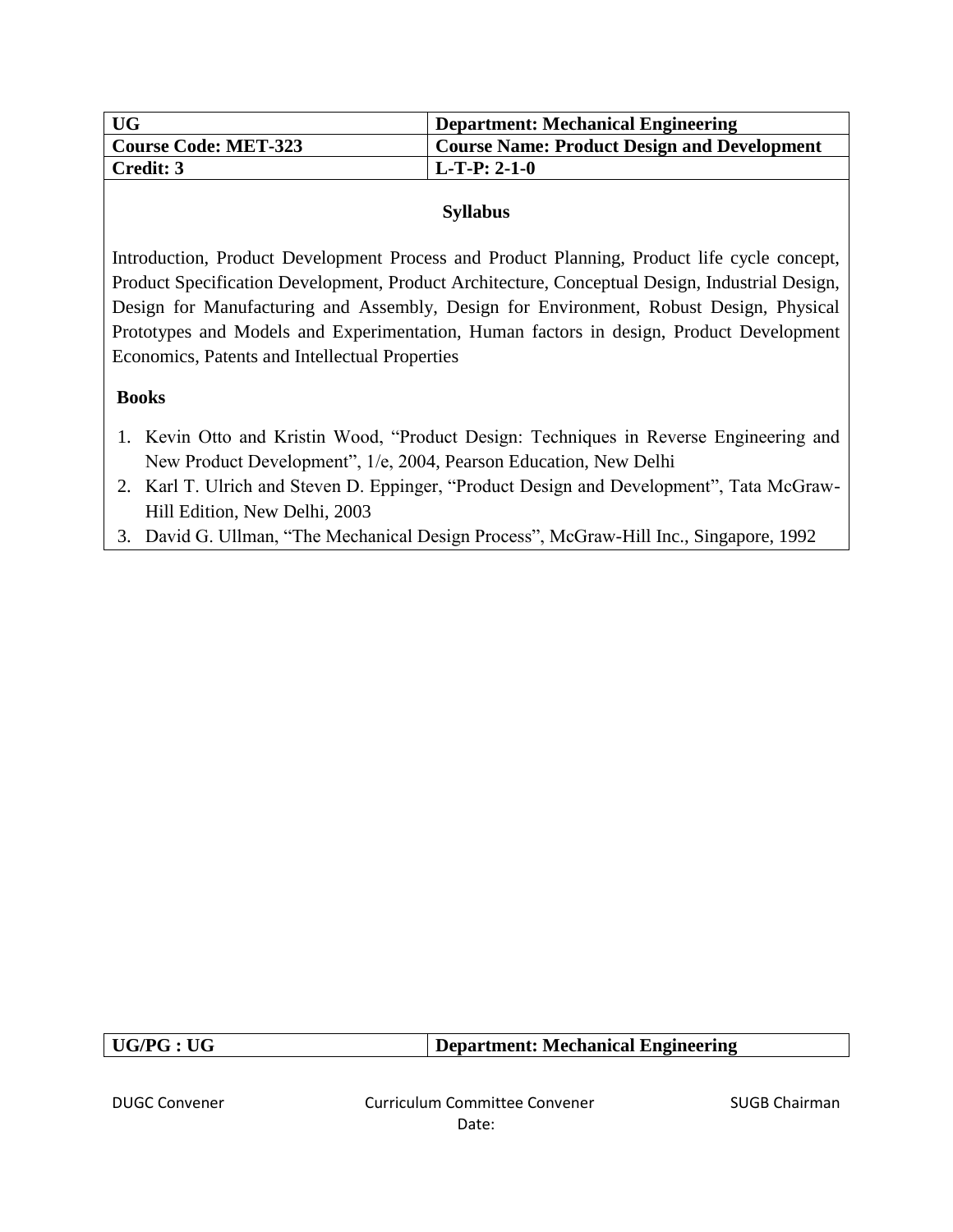| <b>UG</b>            | <b>Department: Mechanical Engineering</b>          |
|----------------------|----------------------------------------------------|
| Course Code: MET-323 | <b>Course Name: Product Design and Development</b> |
| Credit: 3            | $L$ -T-P: 2-1-0                                    |

Introduction, Product Development Process and Product Planning, Product life cycle concept, Product Specification Development, Product Architecture, Conceptual Design, Industrial Design, Design for Manufacturing and Assembly, Design for Environment, Robust Design, Physical Prototypes and Models and Experimentation, Human factors in design, Product Development Economics, Patents and Intellectual Properties

#### **Books**

- 1. Kevin Otto and Kristin Wood, "Product Design: Techniques in Reverse Engineering and New Product Development", 1/e, 2004, Pearson Education, New Delhi
- 2. Karl T. Ulrich and Steven D. Eppinger, "Product Design and Development", Tata McGraw-Hill Edition, New Delhi, 2003
- 3. David G. Ullman, "The Mechanical Design Process", McGraw-Hill Inc., Singapore, 1992

| UG/PG:UG | $\perp$ Department: Mechanical Engineering |
|----------|--------------------------------------------|
|          |                                            |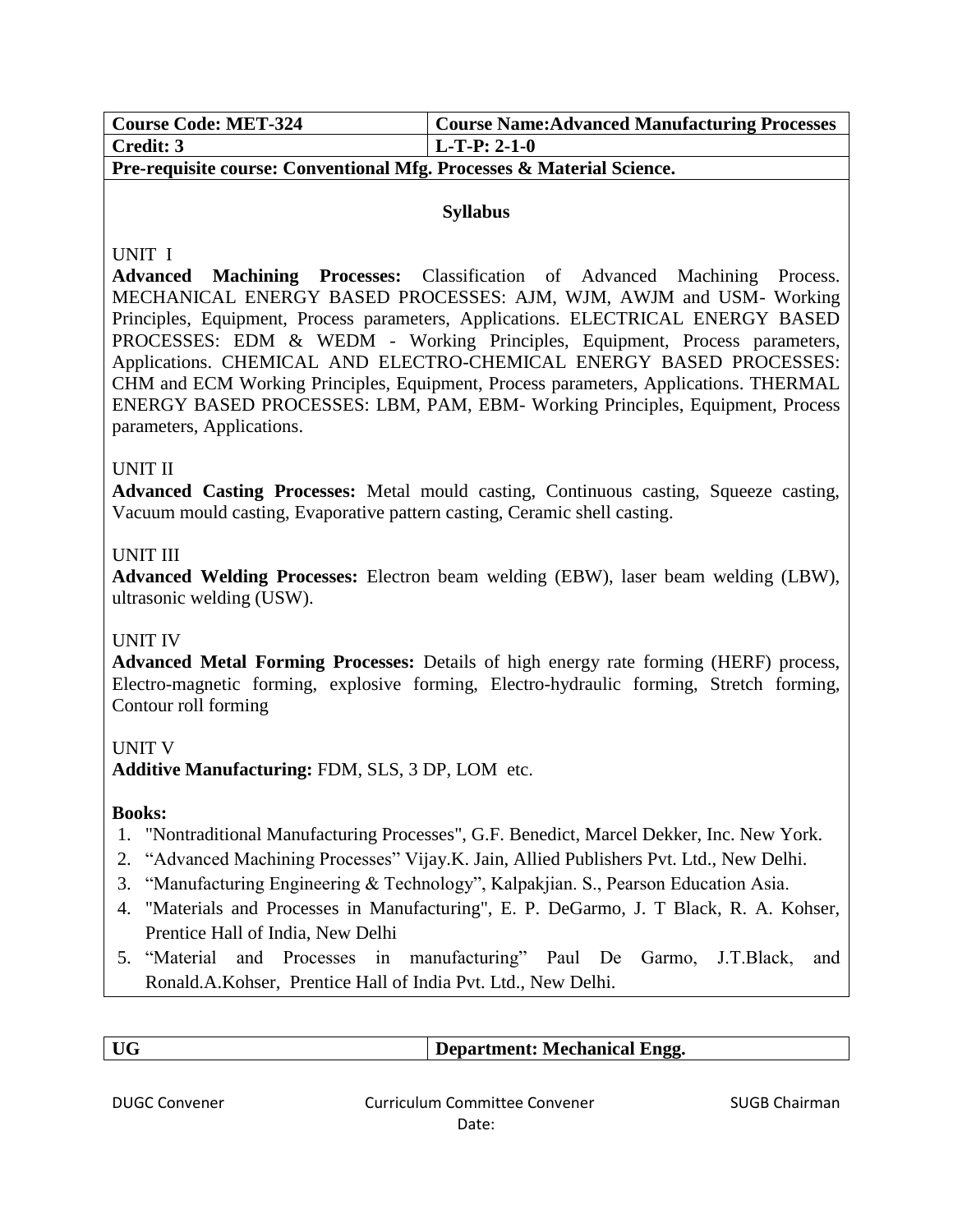| <b>Course Code: MET-324</b> | <b>Course Name: Advanced Manufacturing Processes</b> |
|-----------------------------|------------------------------------------------------|
| Credit: 3                   | $L-T-P: 2-1-0$                                       |

**Pre-requisite course: Conventional Mfg. Processes & Material Science.**

#### **Syllabus**

## UNIT I

**Advanced Machining Processes:** Classification of Advanced Machining Process. MECHANICAL ENERGY BASED PROCESSES: AJM, WJM, AWJM and USM- Working Principles, Equipment, Process parameters, Applications. ELECTRICAL ENERGY BASED PROCESSES: EDM & WEDM - Working Principles, Equipment, Process parameters, Applications. CHEMICAL AND ELECTRO-CHEMICAL ENERGY BASED PROCESSES: CHM and ECM Working Principles, Equipment, Process parameters, Applications. THERMAL ENERGY BASED PROCESSES: LBM, PAM, EBM- Working Principles, Equipment, Process parameters, Applications.

## UNIT II

**Advanced Casting Processes:** Metal mould casting, Continuous casting, Squeeze casting, Vacuum mould casting, Evaporative pattern casting, Ceramic shell casting.

## UNIT III

**Advanced Welding Processes:** Electron beam welding (EBW), laser beam welding (LBW), ultrasonic welding (USW).

# UNIT IV

**Advanced Metal Forming Processes:** Details of high energy rate forming (HERF) process, Electro-magnetic forming, explosive forming, Electro-hydraulic forming, Stretch forming, Contour roll forming

#### UNIT V

**Additive Manufacturing:** FDM, SLS, 3 DP, LOM etc.

# **Books:**

- 1. "Nontraditional Manufacturing Processes", G.F. Benedict, Marcel Dekker, Inc. New York.
- 2. "Advanced Machining Processes" Vijay.K. Jain, Allied Publishers Pvt. Ltd., New Delhi.
- 3. "Manufacturing Engineering & Technology", Kalpakjian. S., Pearson Education Asia.
- 4. "Materials and Processes in Manufacturing", E. P. DeGarmo, J. T Black, R. A. Kohser, Prentice Hall of India, New Delhi
- 5. "Material and Processes in manufacturing" Paul De Garmo, J.T.Black, and Ronald.A.Kohser, Prentice Hall of India Pvt. Ltd., New Delhi.

| <b>UG</b>            | Department: Mechanical Engg.  |                      |
|----------------------|-------------------------------|----------------------|
|                      |                               |                      |
| <b>DUGC Convener</b> | Curriculum Committee Convener | <b>SUGB Chairman</b> |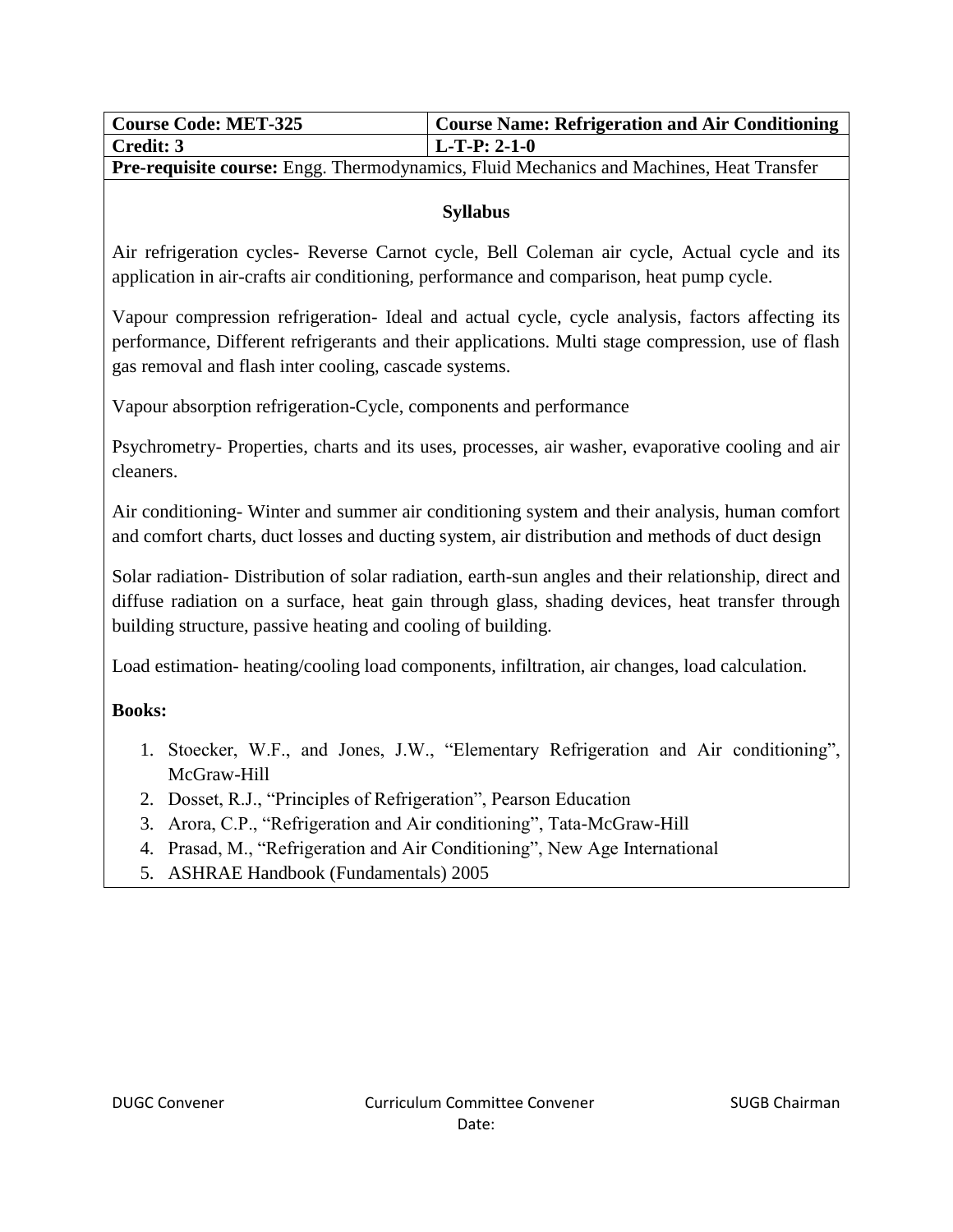| <b>Course Code: MET-325</b> | Course Name: Refrigeration and Air Conditioning |
|-----------------------------|-------------------------------------------------|
| Credit: 3                   | $L-T-P: 2-1-0$                                  |

**Pre-requisite course:** Engg. Thermodynamics, Fluid Mechanics and Machines, Heat Transfer

# **Syllabus**

Air refrigeration cycles- Reverse Carnot cycle, Bell Coleman air cycle, Actual cycle and its application in air-crafts air conditioning, performance and comparison, heat pump cycle.

Vapour compression refrigeration- Ideal and actual cycle, cycle analysis, factors affecting its performance, Different refrigerants and their applications. Multi stage compression, use of flash gas removal and flash inter cooling, cascade systems.

Vapour absorption refrigeration-Cycle, components and performance

Psychrometry- Properties, charts and its uses, processes, air washer, evaporative cooling and air cleaners.

Air conditioning- Winter and summer air conditioning system and their analysis, human comfort and comfort charts, duct losses and ducting system, air distribution and methods of duct design

Solar radiation- Distribution of solar radiation, earth-sun angles and their relationship, direct and diffuse radiation on a surface, heat gain through glass, shading devices, heat transfer through building structure, passive heating and cooling of building.

Load estimation- heating/cooling load components, infiltration, air changes, load calculation.

**Books:**

- 1. Stoecker, W.F., and Jones, J.W., "Elementary Refrigeration and Air conditioning", McGraw-Hill
- 2. Dosset, R.J., "Principles of Refrigeration", Pearson Education
- 3. Arora, C.P., "Refrigeration and Air conditioning", Tata-McGraw-Hill
- 4. Prasad, M., "Refrigeration and Air Conditioning", New Age International
- 5. ASHRAE Handbook (Fundamentals) 2005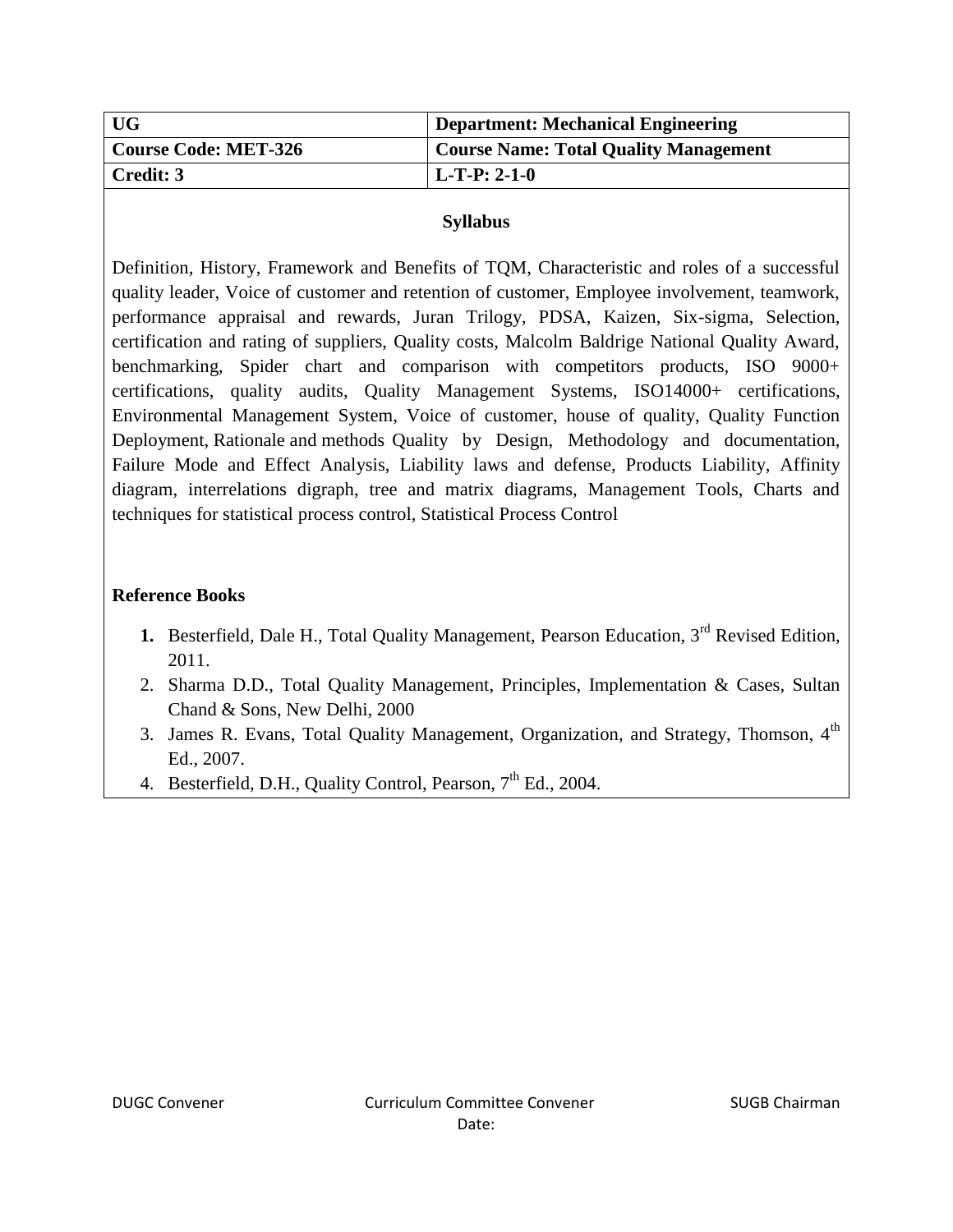| UG                   | Department: Mechanical Engineering           |
|----------------------|----------------------------------------------|
| Course Code: MET-326 | <b>Course Name: Total Quality Management</b> |
| Credit: 3            | $L-T-P: 2-1-0$                               |

Definition, History, Framework and Benefits of TQM, Characteristic and roles of a successful quality leader, Voice of customer and retention of customer, Employee involvement, teamwork, performance appraisal and rewards, Juran Trilogy, PDSA, Kaizen, Six-sigma, Selection, certification and rating of suppliers, Quality costs, Malcolm Baldrige National Quality Award, benchmarking, Spider chart and comparison with competitors products, ISO 9000+ certifications, quality audits, Quality Management Systems, ISO14000+ certifications, Environmental Management System, Voice of customer, house of quality, Quality Function Deployment, Rationale and methods Quality by Design, Methodology and documentation, Failure Mode and Effect Analysis, Liability laws and defense, Products Liability, Affinity diagram, interrelations digraph, tree and matrix diagrams, Management Tools, Charts and techniques for statistical process control, Statistical Process Control

#### **Reference Books**

- **1.** Besterfield, Dale H., Total Quality Management, Pearson Education, 3<sup>rd</sup> Revised Edition, 2011.
- 2. Sharma D.D., Total Quality Management, Principles, Implementation & Cases, Sultan Chand & Sons, New Delhi, 2000
- 3. James R. Evans, Total Quality Management, Organization, and Strategy, Thomson. 4<sup>th</sup> Ed., 2007.
- 4. Besterfield, D.H., Quality Control, Pearson, 7<sup>th</sup> Ed., 2004.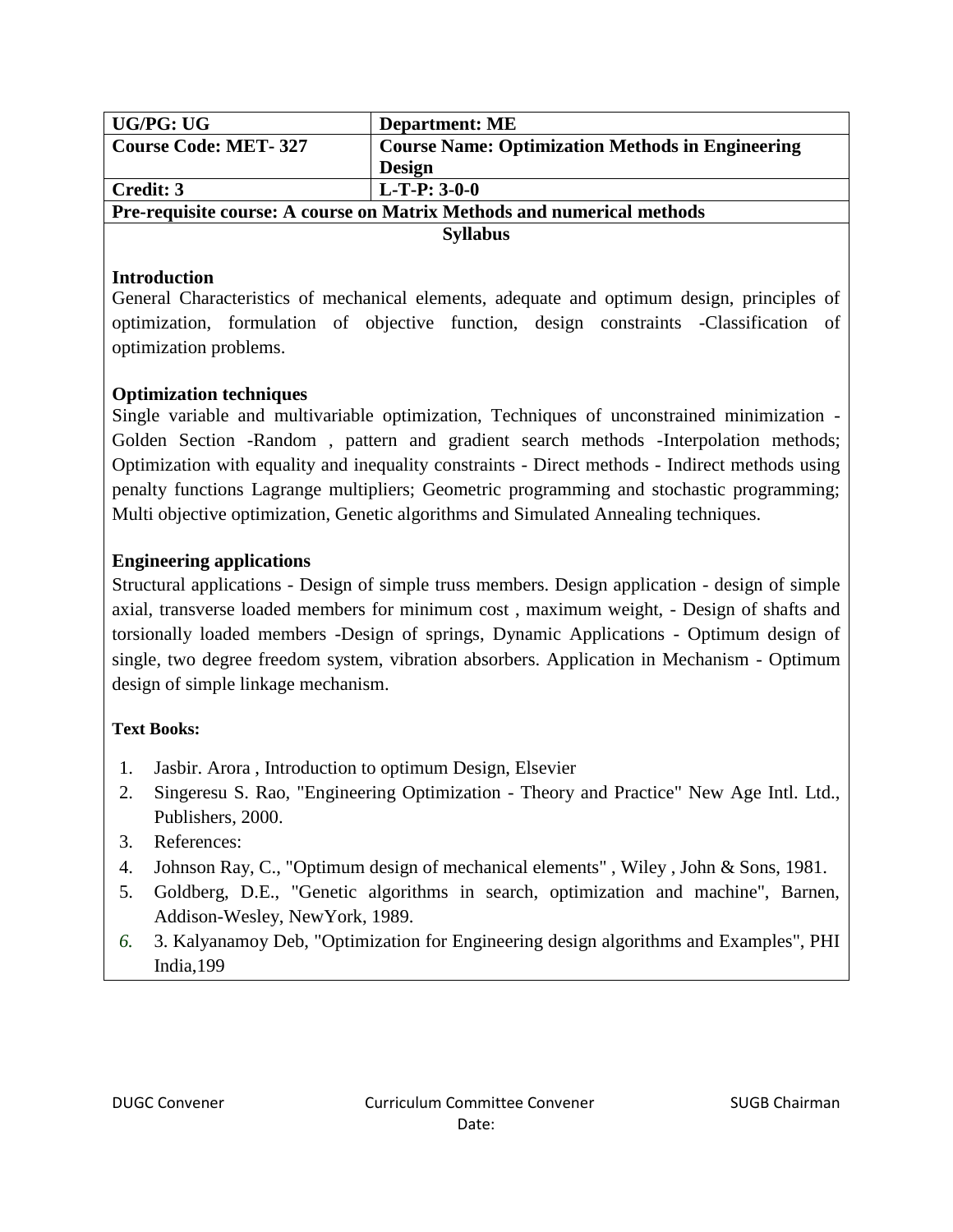| UG/PG: UG                                                              | <b>Department: ME</b>                                   |
|------------------------------------------------------------------------|---------------------------------------------------------|
| <b>Course Code: MET-327</b>                                            | <b>Course Name: Optimization Methods in Engineering</b> |
|                                                                        | <b>Design</b>                                           |
| Credit: 3                                                              | $L-T-P: 3-0-0$                                          |
| Pre-requisite course: A course on Matrix Methods and numerical methods |                                                         |
| <b>Syllabus</b>                                                        |                                                         |

## **Introduction**

General Characteristics of mechanical elements, adequate and optimum design, principles of optimization, formulation of objective function, design constraints -Classification of optimization problems.

# **Optimization techniques**

Single variable and multivariable optimization, Techniques of unconstrained minimization - Golden Section -Random , pattern and gradient search methods -Interpolation methods; Optimization with equality and inequality constraints - Direct methods - Indirect methods using penalty functions Lagrange multipliers; Geometric programming and stochastic programming; Multi objective optimization, Genetic algorithms and Simulated Annealing techniques.

# **Engineering applications**

Structural applications - Design of simple truss members. Design application - design of simple axial, transverse loaded members for minimum cost , maximum weight, - Design of shafts and torsionally loaded members -Design of springs, Dynamic Applications - Optimum design of single, two degree freedom system, vibration absorbers. Application in Mechanism - Optimum design of simple linkage mechanism.

# **Text Books:**

- 1. Jasbir. Arora , Introduction to optimum Design, Elsevier
- 2. Singeresu S. Rao, "Engineering Optimization Theory and Practice" New Age Intl. Ltd., Publishers, 2000.
- 3. References:
- 4. Johnson Ray, C., "Optimum design of mechanical elements" , Wiley , John & Sons, 1981.
- 5. Goldberg, D.E., "Genetic algorithms in search, optimization and machine", Barnen, Addison-Wesley, NewYork, 1989.
- *6.* 3. Kalyanamoy Deb, "Optimization for Engineering design algorithms and Examples", PHI India,199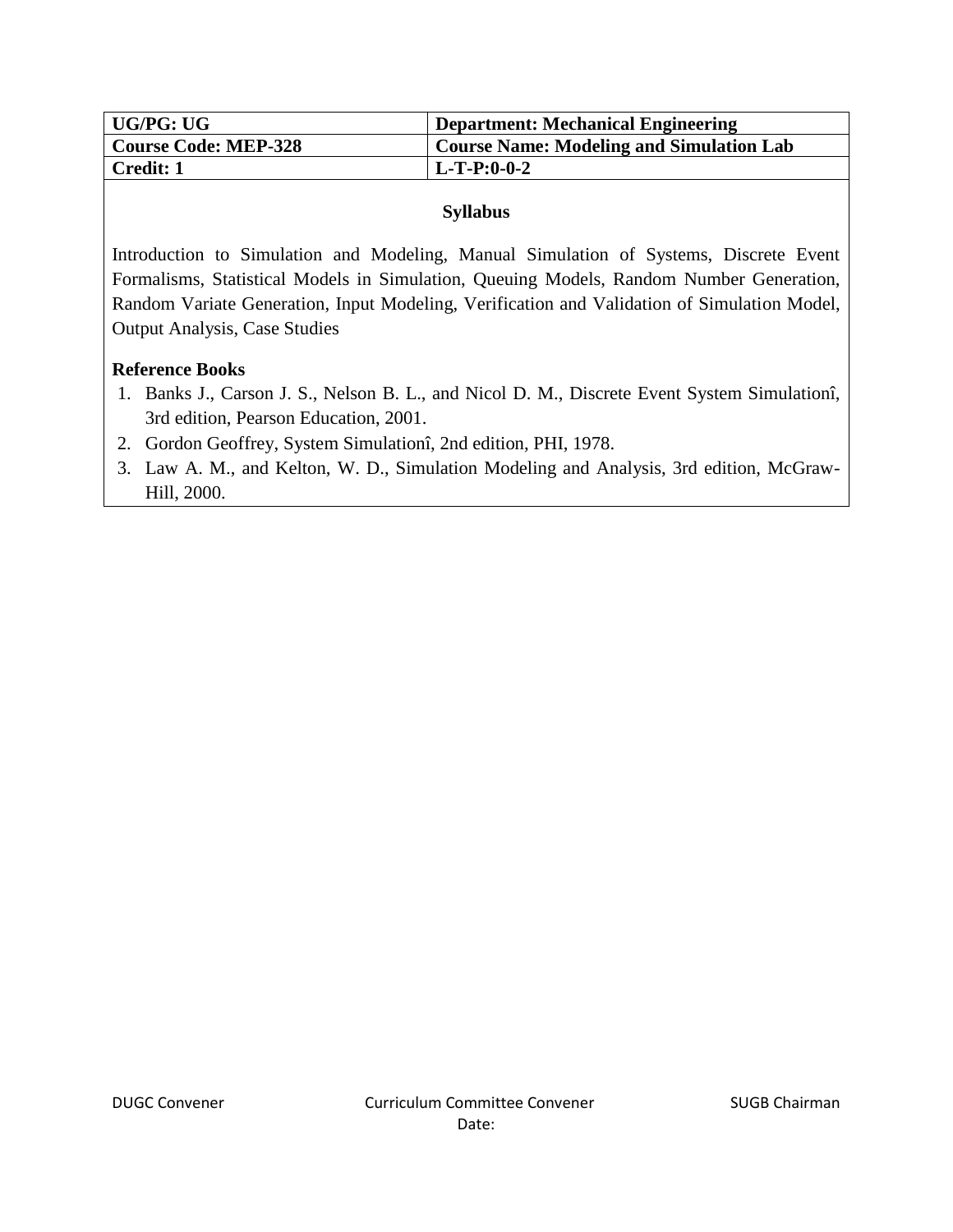| UG/PG: UG                   | <b>Department: Mechanical Engineering</b>       |
|-----------------------------|-------------------------------------------------|
| <b>Course Code: MEP-328</b> | <b>Course Name: Modeling and Simulation Lab</b> |
| <b>Credit: 1</b>            | $L-T-P:0-0-2$                                   |

Introduction to Simulation and Modeling, Manual Simulation of Systems, Discrete Event Formalisms, Statistical Models in Simulation, Queuing Models, Random Number Generation, Random Variate Generation, Input Modeling, Verification and Validation of Simulation Model, Output Analysis, Case Studies

## **Reference Books**

- 1. Banks J., Carson J. S., Nelson B. L., and Nicol D. M., Discrete Event System Simulationî, 3rd edition, Pearson Education, 2001.
- 2. Gordon Geoffrey, System Simulationî, 2nd edition, PHI, 1978.
- 3. Law A. M., and Kelton, W. D., Simulation Modeling and Analysis, 3rd edition, McGraw-Hill, 2000.